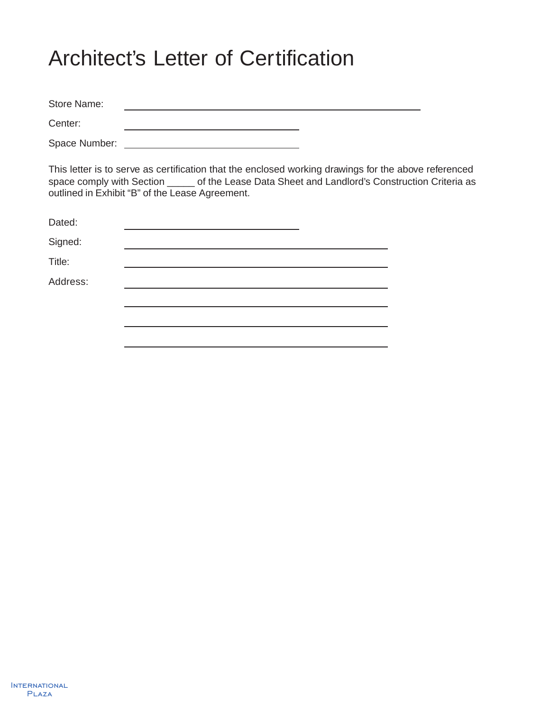# Architect's Letter of Certification

Store Name: Center:

<u> 1989 - Johann Barn, mars ann an t-Amhair ann an t-Amhair an t-Amhair an t-Amhair an t-Amhair an t-Amhair an t-</u>

Space Number:

This letter is to serve as certification that the enclosed working drawings for the above referenced space comply with Section \_\_\_\_\_ of the Lease Data Sheet and Landlord's Construction Criteria as outlined in Exhibit "B" of the Lease Agreement.

| Dated:   |  |
|----------|--|
| Signed:  |  |
| Title:   |  |
| Address: |  |
|          |  |
|          |  |
|          |  |

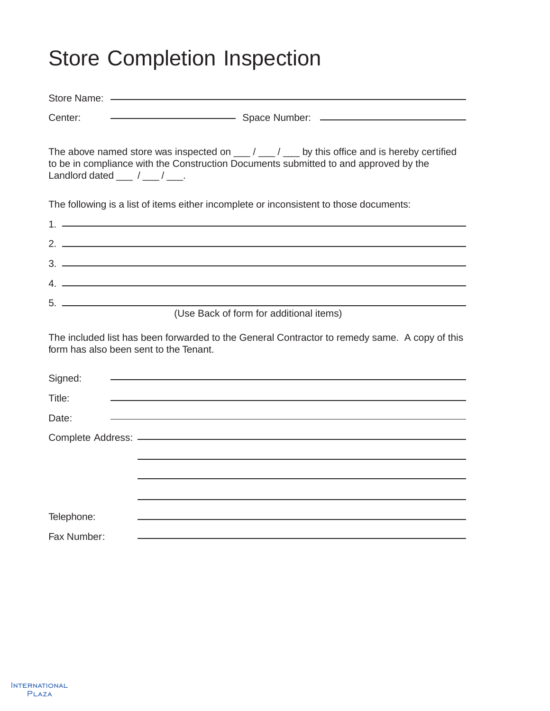# Store Completion Inspection

| Center:                                                      |                                                                                                                                                                                                                                                                                                                        |
|--------------------------------------------------------------|------------------------------------------------------------------------------------------------------------------------------------------------------------------------------------------------------------------------------------------------------------------------------------------------------------------------|
|                                                              |                                                                                                                                                                                                                                                                                                                        |
|                                                              | The above named store was inspected on $\mu$ and $\mu$ and $\mu$ by this office and is hereby certified<br>to be in compliance with the Construction Documents submitted to and approved by the                                                                                                                        |
| Landlord dated $\frac{1}{\sqrt{2}}$ / $\frac{1}{\sqrt{2}}$ . |                                                                                                                                                                                                                                                                                                                        |
|                                                              | The following is a list of items either incomplete or inconsistent to those documents:                                                                                                                                                                                                                                 |
|                                                              |                                                                                                                                                                                                                                                                                                                        |
|                                                              | $2.$ $\frac{1}{2}$ $\frac{1}{2}$ $\frac{1}{2}$ $\frac{1}{2}$ $\frac{1}{2}$ $\frac{1}{2}$ $\frac{1}{2}$ $\frac{1}{2}$ $\frac{1}{2}$ $\frac{1}{2}$ $\frac{1}{2}$ $\frac{1}{2}$ $\frac{1}{2}$ $\frac{1}{2}$ $\frac{1}{2}$ $\frac{1}{2}$ $\frac{1}{2}$ $\frac{1}{2}$ $\frac{1}{2}$ $\frac{1}{2}$ $\frac{1}{2}$ $\frac{1}{$ |
|                                                              |                                                                                                                                                                                                                                                                                                                        |
|                                                              | $4.$ $\overline{\phantom{a}}$                                                                                                                                                                                                                                                                                          |
|                                                              | (Use Back of form for additional items)                                                                                                                                                                                                                                                                                |
|                                                              |                                                                                                                                                                                                                                                                                                                        |
| form has also been sent to the Tenant.                       | The included list has been forwarded to the General Contractor to remedy same. A copy of this                                                                                                                                                                                                                          |
| Signed:                                                      |                                                                                                                                                                                                                                                                                                                        |
| Title:                                                       |                                                                                                                                                                                                                                                                                                                        |
| Date:                                                        |                                                                                                                                                                                                                                                                                                                        |
|                                                              |                                                                                                                                                                                                                                                                                                                        |
|                                                              |                                                                                                                                                                                                                                                                                                                        |
|                                                              |                                                                                                                                                                                                                                                                                                                        |
|                                                              |                                                                                                                                                                                                                                                                                                                        |
| Telephone:                                                   |                                                                                                                                                                                                                                                                                                                        |
| Fax Number:                                                  |                                                                                                                                                                                                                                                                                                                        |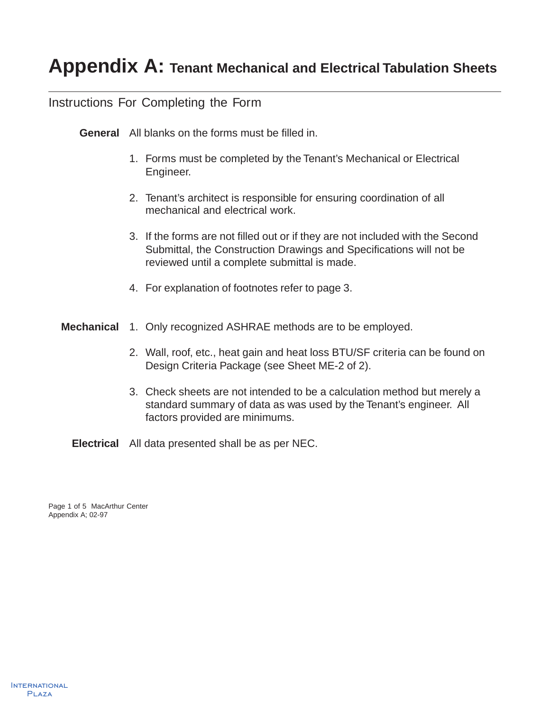### Instructions For Completing the Form

**General** All blanks on the forms must be filled in.

- 1. Forms must be completed by the Tenant's Mechanical or Electrical Engineer.
- 2. Tenant's architect is responsible for ensuring coordination of all mechanical and electrical work.
- 3. If the forms are not filled out or if they are not included with the Second Submittal, the Construction Drawings and Specifications will not be reviewed until a complete submittal is made.
- 4. For explanation of footnotes refer to page 3.
- **Mechanical** 1. Only recognized ASHRAE methods are to be employed.
	- 2. Wall, roof, etc., heat gain and heat loss BTU/SF criteria can be found on Design Criteria Package (see Sheet ME-2 of 2).
	- 3. Check sheets are not intended to be a calculation method but merely a standard summary of data as was used by the Tenant's engineer. All factors provided are minimums.

**Electrical** All data presented shall be as per NEC.

Page 1 of 5 MacArthur Center Appendix A; 02-97

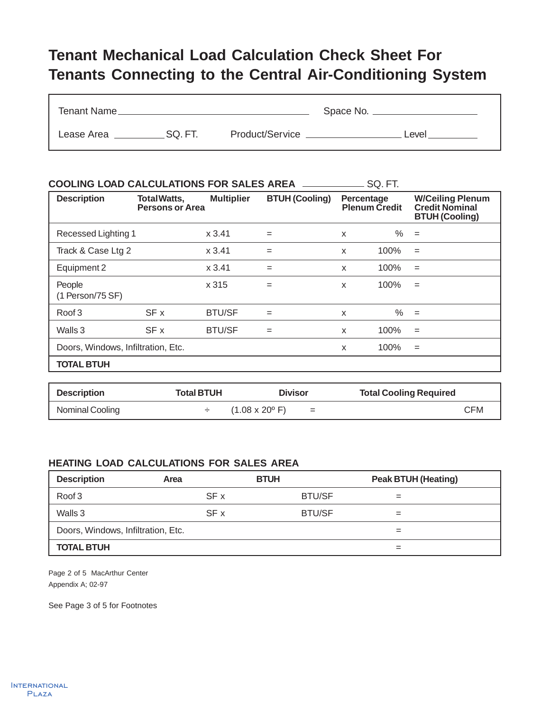## **Tenant Mechanical Load Calculation Check Sheet For Tenants Connecting to the Central Air-Conditioning System**

| Tenant Name_ |        |                 | Space No. __ |       |
|--------------|--------|-----------------|--------------|-------|
| Lease Area   | SQ.FT. | Product/Service |              | Level |

| <b>COOLING LOAD CALCULATIONS FOR SALES AREA</b><br>SQ. FT. |                                               |                   |                       |              |                      |                                                                           |
|------------------------------------------------------------|-----------------------------------------------|-------------------|-----------------------|--------------|----------------------|---------------------------------------------------------------------------|
| <b>Description</b>                                         | <b>Total Watts,</b><br><b>Persons or Area</b> | <b>Multiplier</b> | <b>BTUH (Cooling)</b> | Percentage   | <b>Plenum Credit</b> | <b>W/Ceiling Plenum</b><br><b>Credit Nominal</b><br><b>BTUH (Cooling)</b> |
| Recessed Lighting 1                                        |                                               | x 3.41            | $=$                   | X            | $\%$                 | $=$                                                                       |
| Track & Case Ltg 2                                         |                                               | x3.41             | $=$                   | X            | 100%                 | $=$                                                                       |
| Equipment 2                                                |                                               | x3.41             | $=$                   | X            | 100%                 | $=$                                                                       |
| People<br>(1 Person/75 SF)                                 |                                               | x 315             | $=$                   | X            | 100%                 | $=$                                                                       |
| Roof 3                                                     | SF x                                          | <b>BTU/SF</b>     | $=$                   | $\mathsf{x}$ | ℅                    | $=$                                                                       |
| Walls 3                                                    | SF x                                          | <b>BTU/SF</b>     | $=$                   | X            | 100%                 | $=$                                                                       |
| Doors, Windows, Infiltration, Etc.                         |                                               |                   |                       | X            | 100%                 | $=$                                                                       |
| <b>TOTAL BTUH</b>                                          |                                               |                   |                       |              |                      |                                                                           |

| <b>Description</b> | <b>Total BTUH</b> | <b>Divisor</b>                              | <b>Total Cooling Required</b> |
|--------------------|-------------------|---------------------------------------------|-------------------------------|
| Nominal Cooling    |                   | $(1.08 \times 20^{\circ} \text{ F})$<br>$=$ | <b>CFM</b>                    |

#### **HEATING LOAD CALCULATIONS FOR SALES AREA**

| <b>Description</b>                 | Area | <b>BTUH</b>   | <b>Peak BTUH (Heating)</b> |  |
|------------------------------------|------|---------------|----------------------------|--|
| Roof 3                             | SF x | <b>BTU/SF</b> |                            |  |
| Walls 3                            | SF x | <b>BTU/SF</b> | $=$                        |  |
| Doors, Windows, Infiltration, Etc. |      |               |                            |  |
| <b>TOTAL BTUH</b>                  |      |               | $=$                        |  |

Page 2 of 5 MacArthur Center Appendix A; 02-97

See Page 3 of 5 for Footnotes

n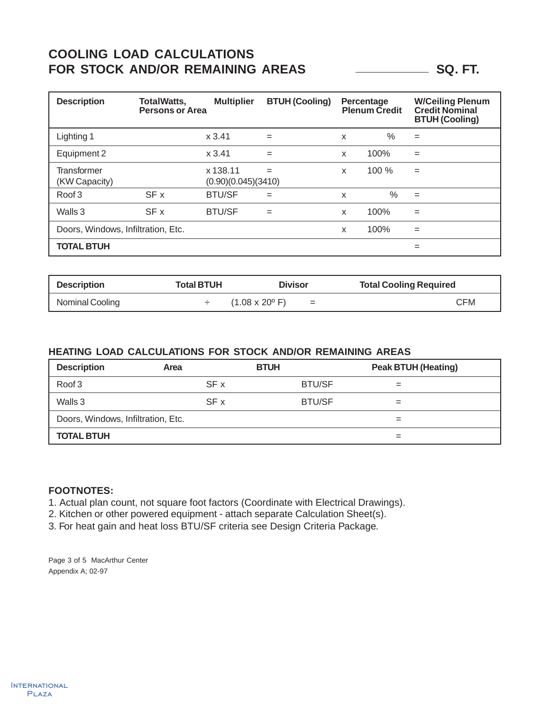### **COOLING LOAD CALCULATIONS** FOR STOCK AND/OR REMAINING AREAS **SQ. FT.**

| <b>Description</b>                  | <b>TotalWatts,</b><br><b>Persons or Area</b> | <b>Multiplier</b>               | <b>BTUH (Cooling)</b> |   | Percentage<br><b>Plenum Credit</b> | <b>W/Ceiling Plenum</b><br><b>Credit Nominal</b><br><b>BTUH (Cooling)</b> |
|-------------------------------------|----------------------------------------------|---------------------------------|-----------------------|---|------------------------------------|---------------------------------------------------------------------------|
| Lighting 1                          |                                              | x3.41                           | $=$                   | X | %                                  | $=$                                                                       |
| Equipment 2                         |                                              | x3.41                           | $=$                   | X | 100%                               | $=$                                                                       |
| <b>Transformer</b><br>(KW Capacity) |                                              | x 138.11<br>(0.90)(0.045)(3410) | $=$                   | X | 100%                               | $=$                                                                       |
| Roof <sub>3</sub>                   | SF x                                         | <b>BTU/SF</b>                   | $=$                   | X | $\%$                               | $=$                                                                       |
| Walls 3                             | SF x                                         | <b>BTU/SF</b>                   | $=$                   | X | 100%                               | $=$                                                                       |
| Doors, Windows, Infiltration, Etc.  |                                              |                                 |                       | X | 100%                               | $=$                                                                       |
| <b>TOTAL BTUH</b>                   |                                              |                                 |                       |   |                                    | $=$                                                                       |

| <b>Description</b> | <b>Total BTUH</b> | <b>Divisor</b>                              | <b>Total Cooling Required</b> |
|--------------------|-------------------|---------------------------------------------|-------------------------------|
| Nominal Cooling    |                   | $(1.08 \times 20^{\circ} \text{ F})$<br>$=$ | <b>CFM</b>                    |

#### **HEATING LOAD CALCULATIONS FOR STOCK AND/OR REMAINING AREAS**

| <b>Description</b>                 | Area | <b>BTUH</b>   | <b>Peak BTUH (Heating)</b> |  |
|------------------------------------|------|---------------|----------------------------|--|
| Roof 3                             | SF x | <b>BTU/SF</b> | $=$                        |  |
| Walls 3                            | SF x | <b>BTU/SF</b> | $=$                        |  |
| Doors, Windows, Infiltration, Etc. |      |               |                            |  |
| <b>TOTAL BTUH</b>                  |      |               |                            |  |

#### **FOOTNOTES:**

1. Actual plan count, not square foot factors (Coordinate with Electrical Drawings).

2. Kitchen or other powered equipment - attach separate Calculation Sheet(s).

3. For heat gain and heat loss BTU/SF criteria see Design Criteria Package.

Page 3 of 5 MacArthur Center Appendix A; 02-97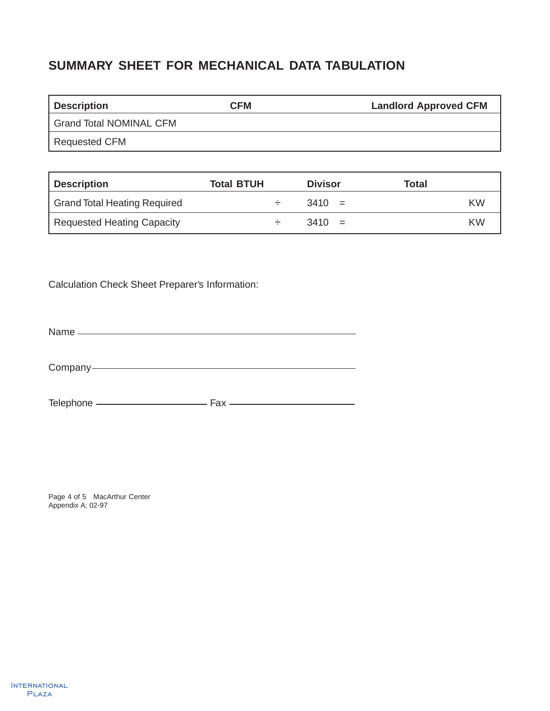## **SUMMARY SHEET FOR MECHANICAL DATA TABULATION**

| <b>Description</b>      | CFM | <b>Landlord Approved CFM</b> |
|-------------------------|-----|------------------------------|
| Grand Total NOMINAL CFM |     |                              |
| Requested CFM           |     |                              |

| <b>Description</b>                  | <b>Total BTUH</b> | <b>Divisor</b> | Total |
|-------------------------------------|-------------------|----------------|-------|
| <b>Grand Total Heating Required</b> |                   | $3410 =$       | KW    |
| Requested Heating Capacity          |                   | $3410 =$       | KW    |

Calculation Check Sheet Preparer's Information:

Name

Company

Telephone Fax

Page 4 of 5 MacArthur Center Appendix A; 02-97

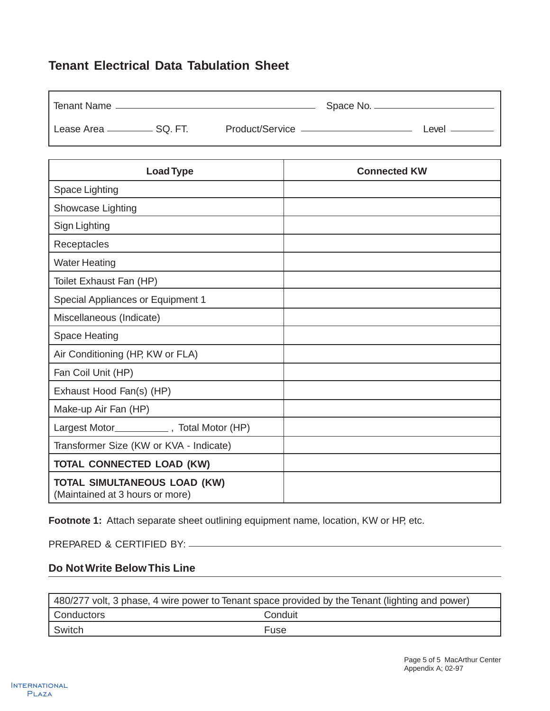### **Tenant Electrical Data Tabulation Sheet**

| <b>Tenant Name</b>               | Space No. <sub>—</sub> |  |       |
|----------------------------------|------------------------|--|-------|
| Lease Area _____________ SQ. FT. | Product/Service -      |  | Level |

| <b>Load Type</b>                                                       | <b>Connected KW</b> |
|------------------------------------------------------------------------|---------------------|
| Space Lighting                                                         |                     |
| Showcase Lighting                                                      |                     |
| Sign Lighting                                                          |                     |
| Receptacles                                                            |                     |
| <b>Water Heating</b>                                                   |                     |
| Toilet Exhaust Fan (HP)                                                |                     |
| Special Appliances or Equipment 1                                      |                     |
| Miscellaneous (Indicate)                                               |                     |
| <b>Space Heating</b>                                                   |                     |
| Air Conditioning (HP, KW or FLA)                                       |                     |
| Fan Coil Unit (HP)                                                     |                     |
| Exhaust Hood Fan(s) (HP)                                               |                     |
| Make-up Air Fan (HP)                                                   |                     |
| Largest Motor______________, Total Motor (HP)                          |                     |
| Transformer Size (KW or KVA - Indicate)                                |                     |
| <b>TOTAL CONNECTED LOAD (KW)</b>                                       |                     |
| <b>TOTAL SIMULTANEOUS LOAD (KW)</b><br>(Maintained at 3 hours or more) |                     |

Footnote 1: Attach separate sheet outlining equipment name, location, KW or HP, etc.

PREPARED & CERTIFIED BY:

#### **Do Not Write Below This Line**

| 480/277 volt, 3 phase, 4 wire power to Tenant space provided by the Tenant (lighting and power) |         |  |
|-------------------------------------------------------------------------------------------------|---------|--|
| Conductors                                                                                      | Conduit |  |
| Switch                                                                                          | Fuse    |  |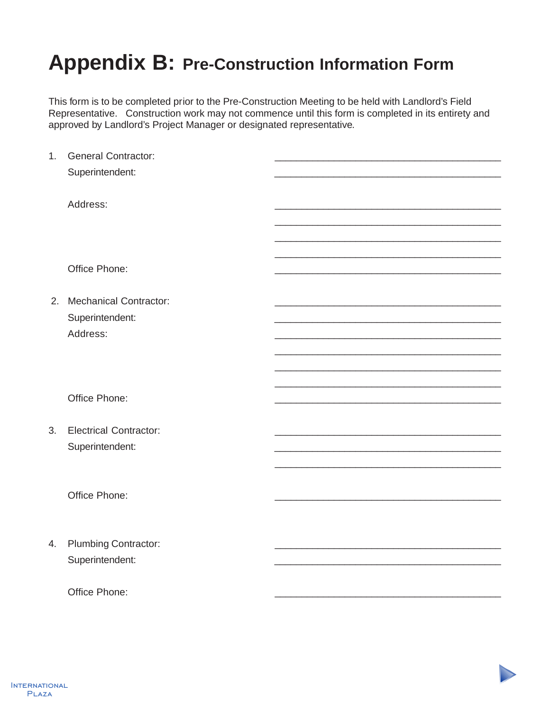# **Appendix B: Pre-Construction Information Form**

This form is to be completed prior to the Pre-Construction Meeting to be held with Landlord's Field Representative. Construction work may not commence until this form is completed in its entirety and approved by Landlord's Project Manager or designated representative.

| 1. | <b>General Contractor:</b>    |  |
|----|-------------------------------|--|
|    | Superintendent:               |  |
|    |                               |  |
|    | Address:                      |  |
|    |                               |  |
|    |                               |  |
|    |                               |  |
|    | Office Phone:                 |  |
|    |                               |  |
|    | 2. Mechanical Contractor:     |  |
|    | Superintendent:               |  |
|    | Address:                      |  |
|    |                               |  |
|    |                               |  |
|    |                               |  |
|    | Office Phone:                 |  |
|    |                               |  |
| 3. | <b>Electrical Contractor:</b> |  |
|    | Superintendent:               |  |
|    |                               |  |
|    |                               |  |
|    | Office Phone:                 |  |
|    |                               |  |
|    |                               |  |
| 4. | Plumbing Contractor:          |  |
|    | Superintendent:               |  |
|    |                               |  |
|    | Office Phone:                 |  |